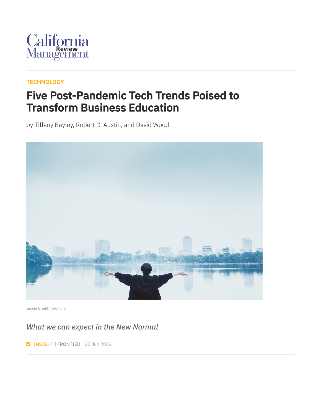

#### **[TECHNOLOGY](https://cmr.berkeley.edu/browse/topics/technology/)**

### Five Post-Pandemic Tech Trends Poised to Transform Business Education

by Tiffany Bayley, Robert D. Austin, and David Wood



Image Credit | [Leohoho](https://unsplash.com/photos/kXYExBLuZ9Q)

*What we can expect in the New Normal*

**INSIGHT | FRONTIER** 20 Jun 2022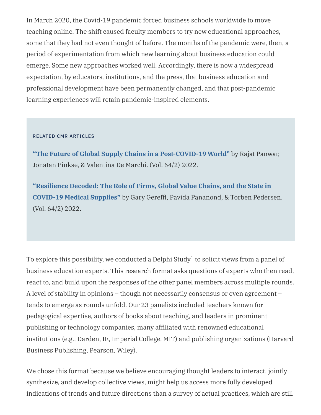In March 2020, the Covid-19 pandemic forced business schools worldwide to move teaching online. The shift caused faculty members to try new educational approaches, some that they had not even thought of before. The months of the pandemic were, then, a period of experimentation from which new learning about business education could emerge. Some new approaches worked well. Accordingly, there is now a widespread expectation, by educators, institutions, and the press, that business education and professional development have been permanently changed, and that post-pandemic learning experiences will retain pandemic-inspired elements.

#### RELATED CMR ARTICLES

**"The Future of Global Supply Chains in a [Post-COVID-19](https://journals.sagepub.com/doi/full/10.1177/00081256211073355) World"** by Rajat Panwar, Jonatan Pinkse, & Valentina De Marchi. (Vol. 64/2) 2022.

**["Resilience](https://journals.sagepub.com/doi/full/10.1177/00081256211069420) Decoded: The Role of Firms, Global Value Chains, and the State in COVID-19 Medical Supplies"** by Gary Gereffi, Pavida Pananond, & Torben Pedersen. (Vol. 64/2) 2022.

To explore this possibility, we conducted a Delphi Study $^1$  to solicit views from a panel of business education experts. This research format asks questions of experts who then read, react to, and build upon the responses of the other panel members across multiple rounds. A level of stability in opinions – though not necessarily consensus or even agreement – tends to emerge as rounds unfold. Our 23 panelists included teachers known for pedagogical expertise, authors of books about teaching, and leaders in prominent publishing or technology companies, many affiliated with renowned educational institutions (e.g., Darden, IE, Imperial College, MIT) and publishing organizations (Harvard Business Publishing, Pearson, Wiley).

We chose this format because we believe encouraging thought leaders to interact, jointly synthesize, and develop collective views, might help us access more fully developed indications of trends and future directions than a survey of actual practices, which are still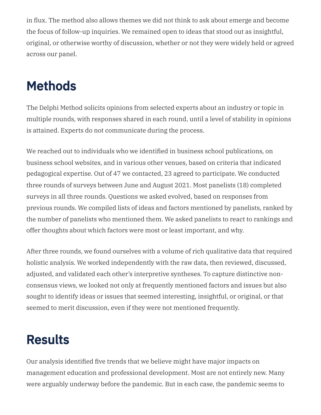in flux. The method also allows themes we did not think to ask about emerge and become the focus of follow-up inquiries. We remained open to ideas that stood out as insightful, original, or otherwise worthy of discussion, whether or not they were widely held or agreed across our panel.

# Methods

The Delphi Method solicits opinions from selected experts about an industry or topic in multiple rounds, with responses shared in each round, until a level of stability in opinions is attained. Experts do not communicate during the process.

We reached out to individuals who we identified in business school publications, on business school websites, and in various other venues, based on criteria that indicated pedagogical expertise. Out of 47 we contacted, 23 agreed to participate. We conducted three rounds of surveys between June and August 2021. Most panelists (18) completed surveys in all three rounds. Questions we asked evolved, based on responses from previous rounds. We compiled lists of ideas and factors mentioned by panelists, ranked by the number of panelists who mentioned them. We asked panelists to react to rankings and offer thoughts about which factors were most or least important, and why.

After three rounds, we found ourselves with a volume of rich qualitative data that required holistic analysis. We worked independently with the raw data, then reviewed, discussed, adjusted, and validated each other's interpretive syntheses. To capture distinctive nonconsensus views, we looked not only at frequently mentioned factors and issues but also sought to identify ideas or issues that seemed interesting, insightful, or original, or that seemed to merit discussion, even if they were not mentioned frequently.

## Results

Our analysis identified five trends that we believe might have major impacts on management education and professional development. Most are not entirely new. Many were arguably underway before the pandemic. But in each case, the pandemic seems to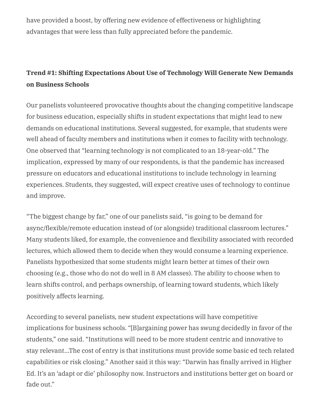have provided a boost, by offering new evidence of effectiveness or highlighting advantages that were less than fully appreciated before the pandemic.

### **Trend #1: Shifting Expectations About Use of Technology Will Generate New Demands on Business Schools**

Our panelists volunteered provocative thoughts about the changing competitive landscape for business education, especially shifts in student expectations that might lead to new demands on educational institutions. Several suggested, for example, that students were well ahead of faculty members and institutions when it comes to facility with technology. One observed that "learning technology is not complicated to an 18-year-old." The implication, expressed by many of our respondents, is that the pandemic has increased pressure on educators and educational institutions to include technology in learning experiences. Students, they suggested, will expect creative uses of technology to continue and improve.

"The biggest change by far," one of our panelists said, "is going to be demand for async/flexible/remote education instead of (or alongside) traditional classroom lectures." Many students liked, for example, the convenience and flexibility associated with recorded lectures, which allowed them to decide when they would consume a learning experience. Panelists hypothesized that some students might learn better at times of their own choosing (e.g., those who do not do well in 8 AM classes). The ability to choose when to learn shifts control, and perhaps ownership, of learning toward students, which likely positively affects learning.

According to several panelists, new student expectations will have competitive implications for business schools. "[B]argaining power has swung decidedly in favor of the students," one said. "Institutions will need to be more student centric and innovative to stay relevant…The cost of entry is that institutions must provide some basic ed tech related capabilities or risk closing." Another said it this way: "Darwin has finally arrived in Higher Ed. It's an 'adapt or die' philosophy now. Instructors and institutions better get on board or fade out."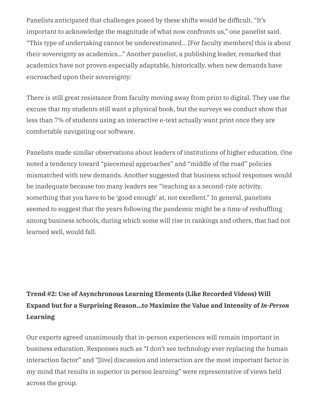Panelists anticipated that challenges posed by these shifts would be difficult. "It's important to acknowledge the magnitude of what now confronts us," one panelist said. "This type of undertaking cannot be underestimated… [For faculty members] this is about their sovereignty as academics…" Another panelist, a publishing leader, remarked that academics have not proven especially adaptable, historically, when new demands have encroached upon their sovereignty:

There is still great resistance from faculty moving away from print to digital. They use the excuse that my students still want a physical book, but the surveys we conduct show that less than 7% of students using an interactive e-text actually want print once they are comfortable navigating our software.

Panelists made similar observations about leaders of institutions of higher education. One noted a tendency toward "piecemeal approaches" and "middle of the road" policies mismatched with new demands. Another suggested that business school responses would be inadequate because too many leaders see "teaching as a second-rate activity, something that you have to be 'good enough' at, not excellent." In general, panelists seemed to suggest that the years following the pandemic might be a time of reshuffling among business schools, during which some will rise in rankings and others, that had not learned well, would fall.

### **Trend #2: Use of Asynchronous Learning Elements (Like Recorded Videos) Will Expand but for a Surprising Reason…to Maximize the Value and Intensity of** *In-Person* **Learning**

Our experts agreed unanimously that in-person experiences will remain important in business education. Responses such as "I don't see technology ever replacing the human interaction factor" and "[live] discussion and interaction are the most important factor in my mind that results in superior in person learning" were representative of views held across the group.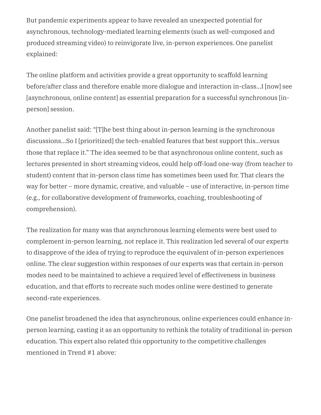But pandemic experiments appear to have revealed an unexpected potential for asynchronous, technology-mediated learning elements (such as well-composed and produced streaming video) to reinvigorate live, in-person experiences. One panelist explained:

The online platform and activities provide a great opportunity to scaffold learning before/after class and therefore enable more dialogue and interaction in-class…I [now] see [asynchronous, online content] as essential preparation for a successful synchronous [inperson] session.

Another panelist said: "[T]he best thing about in-person learning is the synchronous discussions…So I [prioritized] the tech-enabled features that best support this…versus those that replace it." The idea seemed to be that asynchronous online content, such as lectures presented in short streaming videos, could help off-load one-way (from teacher to student) content that in-person class time has sometimes been used for. That clears the way for better – more dynamic, creative, and valuable – use of interactive, in-person time (e.g., for collaborative development of frameworks, coaching, troubleshooting of comprehension).

The realization for many was that asynchronous learning elements were best used to complement in-person learning, not replace it. This realization led several of our experts to disapprove of the idea of trying to reproduce the equivalent of in-person experiences online. The clear suggestion within responses of our experts was that certain in-person modes need to be maintained to achieve a required level of effectiveness in business education, and that efforts to recreate such modes online were destined to generate second-rate experiences.

One panelist broadened the idea that asynchronous, online experiences could enhance inperson learning, casting it as an opportunity to rethink the totality of traditional in-person education. This expert also related this opportunity to the competitive challenges mentioned in Trend #1 above: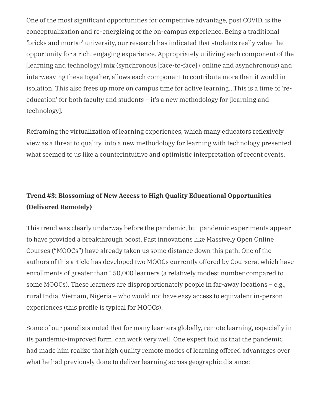One of the most significant opportunities for competitive advantage, post COVID, is the conceptualization and re-energizing of the on-campus experience. Being a traditional 'bricks and mortar' university, our research has indicated that students really value the opportunity for a rich, engaging experience. Appropriately utilizing each component of the [learning and technology] mix (synchronous [face-to-face] / online and asynchronous) and interweaving these together, allows each component to contribute more than it would in isolation. This also frees up more on campus time for active learning…This is a time of 'reeducation' for both faculty and students – it's a new methodology for [learning and technology].

Reframing the virtualization of learning experiences, which many educators reflexively view as a threat to quality, into a new methodology for learning with technology presented what seemed to us like a counterintuitive and optimistic interpretation of recent events.

### **Trend #3: Blossoming of New Access to High Quality Educational Opportunities (Delivered Remotely)**

This trend was clearly underway before the pandemic, but pandemic experiments appear to have provided a breakthrough boost. Past innovations like Massively Open Online Courses ("MOOCs") have already taken us some distance down this path. One of the authors of this article has developed two MOOCs currently offered by Coursera, which have enrollments of greater than 150,000 learners (a relatively modest number compared to some MOOCs). These learners are disproportionately people in far-away locations – e.g., rural India, Vietnam, Nigeria – who would not have easy access to equivalent in-person experiences (this profile is typical for MOOCs).

Some of our panelists noted that for many learners globally, remote learning, especially in its pandemic-improved form, can work very well. One expert told us that the pandemic had made him realize that high quality remote modes of learning offered advantages over what he had previously done to deliver learning across geographic distance: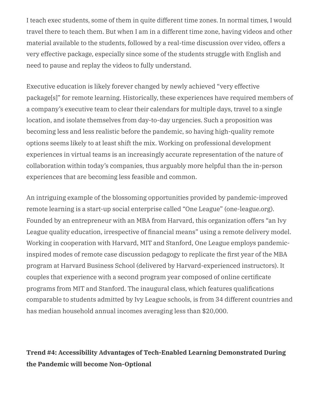I teach exec students, some of them in quite different time zones. In normal times, I would travel there to teach them. But when I am in a different time zone, having videos and other material available to the students, followed by a real-time discussion over video, offers a very effective package, especially since some of the students struggle with English and need to pause and replay the videos to fully understand.

Executive education is likely forever changed by newly achieved "very effective package[s]" for remote learning. Historically, these experiences have required members of a company's executive team to clear their calendars for multiple days, travel to a single location, and isolate themselves from day-to-day urgencies. Such a proposition was becoming less and less realistic before the pandemic, so having high-quality remote options seems likely to at least shift the mix. Working on professional development experiences in virtual teams is an increasingly accurate representation of the nature of collaboration within today's companies, thus arguably more helpful than the in-person experiences that are becoming less feasible and common.

An intriguing example of the blossoming opportunities provided by pandemic-improved remote learning is a start-up social enterprise called "One League" (one-league.org). Founded by an entrepreneur with an MBA from Harvard, this organization offers "an Ivy League quality education, irrespective of financial means" using a remote delivery model. Working in cooperation with Harvard, MIT and Stanford, One League employs pandemicinspired modes of remote case discussion pedagogy to replicate the first year of the MBA program at Harvard Business School (delivered by Harvard-experienced instructors). It couples that experience with a second program year composed of online certificate programs from MIT and Stanford. The inaugural class, which features qualifications comparable to students admitted by Ivy League schools, is from 34 different countries and has median household annual incomes averaging less than \$20,000.

#### **Trend #4: Accessibility Advantages of Tech-Enabled Learning Demonstrated During the Pandemic will become Non-Optional**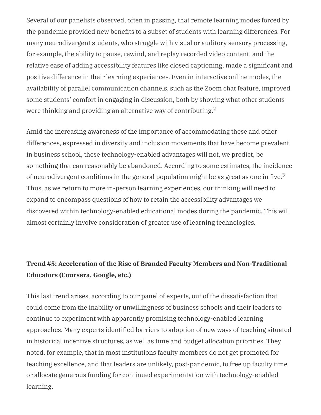Several of our panelists observed, often in passing, that remote learning modes forced by the pandemic provided new benefits to a subset of students with learning differences. For many neurodivergent students, who struggle with visual or auditory sensory processing, for example, the ability to pause, rewind, and replay recorded video content, and the relative ease of adding accessibility features like closed captioning, made a significant and positive difference in their learning experiences. Even in interactive online modes, the availability of parallel communication channels, such as the Zoom chat feature, improved some students' comfort in engaging in discussion, both by showing what other students were thinking and providing an alternative way of contributing. $^2$ 

Amid the increasing awareness of the importance of accommodating these and other differences, expressed in diversity and inclusion movements that have become prevalent in business school, these technology-enabled advantages will not, we predict, be something that can reasonably be abandoned. According to some estimates, the incidence of neurodivergent conditions in the general population might be as great as one in five. $^3$ Thus, as we return to more in-person learning experiences, our thinking will need to expand to encompass questions of how to retain the accessibility advantages we discovered within technology-enabled educational modes during the pandemic. This will almost certainly involve consideration of greater use of learning technologies.

#### **Trend #5: Acceleration of the Rise of Branded Faculty Members and Non-Traditional Educators (Coursera, Google, etc.)**

This last trend arises, according to our panel of experts, out of the dissatisfaction that could come from the inability or unwillingness of business schools and their leaders to continue to experiment with apparently promising technology-enabled learning approaches. Many experts identified barriers to adoption of new ways of teaching situated in historical incentive structures, as well as time and budget allocation priorities. They noted, for example, that in most institutions faculty members do not get promoted for teaching excellence, and that leaders are unlikely, post-pandemic, to free up faculty time or allocate generous funding for continued experimentation with technology-enabled learning.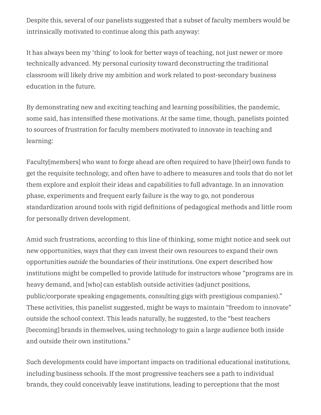Despite this, several of our panelists suggested that a subset of faculty members would be intrinsically motivated to continue along this path anyway:

It has always been my 'thing' to look for better ways of teaching, not just newer or more technically advanced. My personal curiosity toward deconstructing the traditional classroom will likely drive my ambition and work related to post-secondary business education in the future.

By demonstrating new and exciting teaching and learning possibilities, the pandemic, some said, has intensified these motivations. At the same time, though, panelists pointed to sources of frustration for faculty members motivated to innovate in teaching and learning:

Faculty[members] who want to forge ahead are often required to have [their] own funds to get the requisite technology, and often have to adhere to measures and tools that do not let them explore and exploit their ideas and capabilities to full advantage. In an innovation phase, experiments and frequent early failure is the way to go, not ponderous standardization around tools with rigid definitions of pedagogical methods and little room for personally driven development.

Amid such frustrations, according to this line of thinking, some might notice and seek out new opportunities, ways that they can invest their own resources to expand their own opportunities *outside* the boundaries of their institutions. One expert described how institutions might be compelled to provide latitude for instructors whose "programs are in heavy demand, and [who] can establish outside activities (adjunct positions, public/corporate speaking engagements, consulting gigs with prestigious companies)." These activities, this panelist suggested, might be ways to maintain "freedom to innovate" outside the school context. This leads naturally, he suggested, to the "best teachers [becoming] brands in themselves, using technology to gain a large audience both inside and outside their own institutions."

Such developments could have important impacts on traditional educational institutions, including business schools. If the most progressive teachers see a path to individual brands, they could conceivably leave institutions, leading to perceptions that the most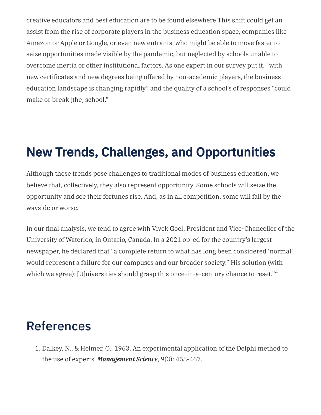creative educators and best education are to be found elsewhere This shift could get an assist from the rise of corporate players in the business education space, companies like Amazon or Apple or Google, or even new entrants, who might be able to move faster to seize opportunities made visible by the pandemic, but neglected by schools unable to overcome inertia or other institutional factors. As one expert in our survey put it, "with new certificates and new degrees being offered by non-academic players, the business education landscape is changing rapidly" and the quality of a school's of responses "could make or break [the] school."

## New Trends, Challenges, and Opportunities

Although these trends pose challenges to traditional modes of business education, we believe that, collectively, they also represent opportunity. Some schools will seize the opportunity and see their fortunes rise. And, as in all competition, some will fall by the wayside or worse.

In our final analysis, we tend to agree with Vivek Goel, President and Vice-Chancellor of the University of Waterloo, in Ontario, Canada. In a 2021 op-ed for the country's largest newspaper, he declared that "a complete return to what has long been considered 'normal' would represent a failure for our campuses and our broader society." His solution (with which we agree): [U]niversities should grasp this once-in-a-century chance to reset."<sup>4</sup>

## References

1. Dalkey, N., & Helmer, O., 1963. An experimental application of the Delphi method to the use of experts. *Management Science*, 9(3): 458-467.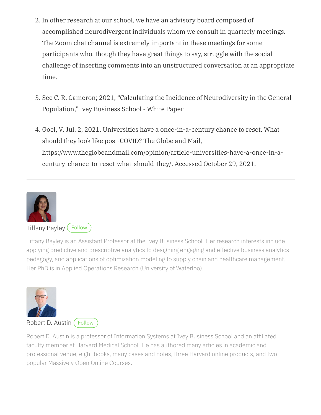- 2. In other research at our school, we have an advisory board composed of accomplished neurodivergent individuals whom we consult in quarterly meetings. The Zoom chat channel is extremely important in these meetings for some participants who, though they have great things to say, struggle with the social challenge of inserting comments into an unstructured conversation at an appropriate time.
- 3. See C. R. Cameron; 2021, "Calculating the Incidence of Neurodiversity in the General Population," Ivey Business School - White Paper
- 4. Goel, V. Jul. 2, 2021. Universities have a once-in-a-century chance to reset. What should they look like post-COVID? The Globe and Mail, https://www.theglobeandmail.com/opinion/article-universities-have-a-once-in-acentury-chance-to-reset-what-should-they/. Accessed October 29, 2021.



#### [Tiffany](https://www.ivey.uwo.ca/faculty/directory/tiffany-bayley/) Bayley ([Follow](https://www.twitter.com/TiffBayley)

Tiffany Bayley is an Assistant Professor at the Ivey Business School. Her research interests include applying predictive and prescriptive analytics to designing engaging and effective business analytics pedagogy, and applications of optimization modeling to supply chain and healthcare management. Her PhD is in Applied Operations Research (University of Waterloo).



[Robert](https://www.ivey.uwo.ca/faculty/directory/rob-austin/) D. Austin ([Follow](https://www.twitter.com/morl8tr)

Robert D. Austin is a professor of Information Systems at Ivey Business School and an affiliated faculty member at Harvard Medical School. He has authored many articles in academic and professional venue, eight books, many cases and notes, three Harvard online products, and two popular Massively Open Online Courses.